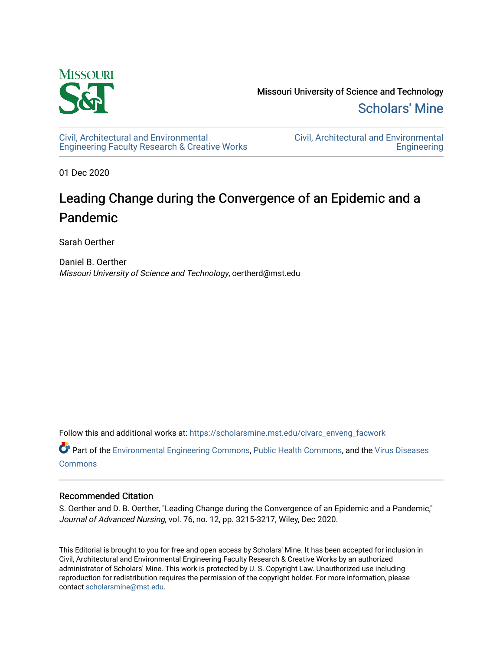

Missouri University of Science and Technology [Scholars' Mine](https://scholarsmine.mst.edu/) 

[Civil, Architectural and Environmental](https://scholarsmine.mst.edu/civarc_enveng_facwork) [Engineering Faculty Research & Creative Works](https://scholarsmine.mst.edu/civarc_enveng_facwork) [Civil, Architectural and Environmental](https://scholarsmine.mst.edu/civarc_enveng)  **Engineering** 

01 Dec 2020

# Leading Change during the Convergence of an Epidemic and a Pandemic

Sarah Oerther

Daniel B. Oerther Missouri University of Science and Technology, oertherd@mst.edu

Follow this and additional works at: [https://scholarsmine.mst.edu/civarc\\_enveng\\_facwork](https://scholarsmine.mst.edu/civarc_enveng_facwork?utm_source=scholarsmine.mst.edu%2Fcivarc_enveng_facwork%2F2163&utm_medium=PDF&utm_campaign=PDFCoverPages) 

Part of the [Environmental Engineering Commons](http://network.bepress.com/hgg/discipline/254?utm_source=scholarsmine.mst.edu%2Fcivarc_enveng_facwork%2F2163&utm_medium=PDF&utm_campaign=PDFCoverPages), [Public Health Commons](http://network.bepress.com/hgg/discipline/738?utm_source=scholarsmine.mst.edu%2Fcivarc_enveng_facwork%2F2163&utm_medium=PDF&utm_campaign=PDFCoverPages), and the [Virus Diseases](http://network.bepress.com/hgg/discipline/998?utm_source=scholarsmine.mst.edu%2Fcivarc_enveng_facwork%2F2163&utm_medium=PDF&utm_campaign=PDFCoverPages) [Commons](http://network.bepress.com/hgg/discipline/998?utm_source=scholarsmine.mst.edu%2Fcivarc_enveng_facwork%2F2163&utm_medium=PDF&utm_campaign=PDFCoverPages)

# Recommended Citation

S. Oerther and D. B. Oerther, "Leading Change during the Convergence of an Epidemic and a Pandemic," Journal of Advanced Nursing, vol. 76, no. 12, pp. 3215-3217, Wiley, Dec 2020.

This Editorial is brought to you for free and open access by Scholars' Mine. It has been accepted for inclusion in Civil, Architectural and Environmental Engineering Faculty Research & Creative Works by an authorized administrator of Scholars' Mine. This work is protected by U. S. Copyright Law. Unauthorized use including reproduction for redistribution requires the permission of the copyright holder. For more information, please contact [scholarsmine@mst.edu](mailto:scholarsmine@mst.edu).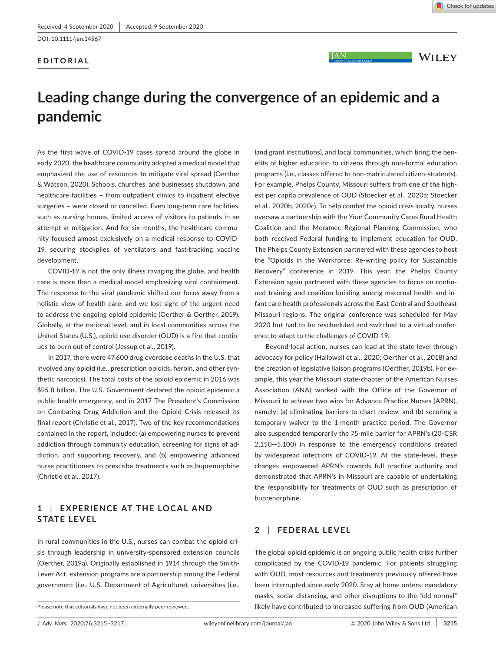DOI: 10.1111/jan.14567

## **EDITORIAL**

**JAN** 

**WILEY** 

# **Leading change during the convergence of an epidemic and a pandemic**

As the first wave of COVID-19 cases spread around the globe in early 2020, the healthcare community adopted a medical model that emphasized the use of resources to mitigate viral spread (Oerther & Watson, 2020). Schools, churches, and businesses shutdown, and healthcare facilities – from outpatient clinics to inpatient elective surgeries – were closed or cancelled. Even long-term care facilities, such as nursing homes, limited access of visitors to patients in an attempt at mitigation. And for six months, the healthcare community focused almost exclusively on a medical response to COVID-19, securing stockpiles of ventilators and fast-tracking vaccine development.

COVID-19 is not the only illness ravaging the globe, and health care is more than a medical model emphasizing viral containment. The response to the viral pandemic shifted our focus away from a holistic view of health care, and we lost sight of the urgent need to address the ongoing opioid epidemic (Oerther & Oerther, 2019). Globally, at the national level, and in local communities across the United States (U.S.), opioid use disorder (OUD) is a fire that continues to burn out of control (Jessup et al., 2019).

In 2017, there were 47,600 drug overdose deaths in the U.S. that involved any opioid (i.e., prescription opioids, heroin, and other synthetic narcotics). The total costs of the opioid epidemic in 2016 was \$95.8 billion. The U.S. Government declared the opioid epidemic a public health emergency, and in 2017 The President's Commission on Combating Drug Addiction and the Opioid Crisis released its final report (Christie et al., 2017). Two of the key recommendations contained in the report, included: (a) empowering nurses to prevent addiction through community education, screening for signs of addiction, and supporting recovery, and (b) empowering advanced nurse practitioners to prescribe treatments such as buprenorphine (Christie et al., 2017).

## **1** | **E XPERIENCE AT THE LOC AL AND STATE LEVEL**

In rural communities in the U.S., nurses can combat the opioid crisis through leadership in university-sponsored extension councils (Oerther, 2019a). Originally established in 1914 through the Smith-Lever Act, extension programs are a partnership among the Federal government (i.e., U.S. Department of Agriculture), universities (i.e.,

land grant institutions), and local communities, which bring the benefits of higher education to citizens through non-formal education programs (i.e., classes offered to non-matriculated citizen-students). For example, Phelps County, Missouri suffers from one of the highest per capita prevalence of OUD (Stoecker et al., 2020a; Stoecker et al., 2020b, 2020c). To help combat the opioid crisis locally, nurses oversaw a partnership with the Your Community Cares Rural Health Coalition and the Meramec Regional Planning Commission, who both received Federal funding to implement education for OUD. The Phelps County Extension partnered with these agencies to host the "Opioids in the Workforce: Re-writing policy for Sustainable Recovery" conference in 2019. This year, the Phelps County Extension again partnered with these agencies to focus on continued training and coalition building among maternal health and infant care health professionals across the East Central and Southeast Missouri regions. The original conference was scheduled for May 2020 but had to be rescheduled and switched to a virtual conference to adapt to the challenges of COVID-19.

Beyond local action, nurses can lead at the state-level through advocacy for policy (Hallowell et al., 2020; Oerther et al., 2018) and the creation of legislative liaison programs (Oerther, 2019b). For example, this year the Missouri state-chapter of the American Nurses Association (ANA) worked with the Office of the Governor of Missouri to achieve two wins for Advance Practice Nurses (APRN), namely: (a) eliminating barriers to chart review, and (b) securing a temporary waiver to the 1-month practice period. The Governor also suspended temporarily the 75-mile barrier for APRN's (20-CSR 2,150—5.100) in response to the emergency conditions created by widespread infections of COVID-19. At the state-level, these changes empowered APRN's towards full practice authority and demonstrated that APRN's in Missouri are capable of undertaking the responsibility for treatments of OUD such as prescription of buprenorphine.

### **2** | **FEDERAL LEVEL**

The global opioid epidemic is an ongoing public health crisis further complicated by the COVID-19 pandemic. For patients struggling with OUD, most resources and treatments previously offered have been interrupted since early 2020. Stay at home orders, mandatory masks, social distancing, and other disruptions to the "old normal" Please note that editorials have not been externally peer reviewed. **in the manuform of the state of the contributed to increased suffering from OUD (American**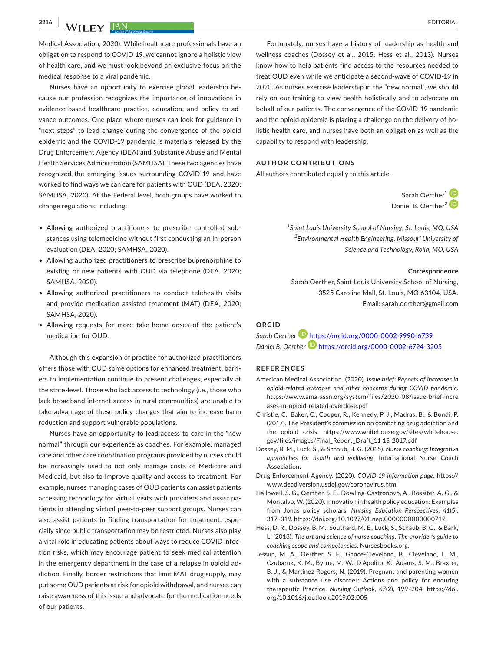**3216 |**  EDITORIAL

Medical Association, 2020). While healthcare professionals have an obligation to respond to COVID-19, we cannot ignore a holistic view of health care, and we must look beyond an exclusive focus on the medical response to a viral pandemic.

Nurses have an opportunity to exercise global leadership because our profession recognizes the importance of innovations in evidence-based healthcare practice, education, and policy to advance outcomes. One place where nurses can look for guidance in "next steps" to lead change during the convergence of the opioid epidemic and the COVID-19 pandemic is materials released by the Drug Enforcement Agency (DEA) and Substance Abuse and Mental Health Services Administration (SAMHSA). These two agencies have recognized the emerging issues surrounding COVID-19 and have worked to find ways we can care for patients with OUD (DEA, 2020; SAMHSA, 2020). At the Federal level, both groups have worked to change regulations, including:

- Allowing authorized practitioners to prescribe controlled substances using telemedicine without first conducting an in-person evaluation (DEA, 2020; SAMHSA, 2020).
- Allowing authorized practitioners to prescribe buprenorphine to existing or new patients with OUD via telephone (DEA, 2020; SAMHSA, 2020).
- Allowing authorized practitioners to conduct telehealth visits and provide medication assisted treatment (MAT) (DEA, 2020; SAMHSA, 2020).
- Allowing requests for more take-home doses of the patient's medication for OUD.

Although this expansion of practice for authorized practitioners offers those with OUD some options for enhanced treatment, barriers to implementation continue to present challenges, especially at the state-level. Those who lack access to technology (i.e., those who lack broadband internet access in rural communities) are unable to take advantage of these policy changes that aim to increase harm reduction and support vulnerable populations.

Nurses have an opportunity to lead access to care in the "new normal" through our experience as coaches. For example, managed care and other care coordination programs provided by nurses could be increasingly used to not only manage costs of Medicare and Medicaid, but also to improve quality and access to treatment. For example, nurses managing cases of OUD patients can assist patients accessing technology for virtual visits with providers and assist patients in attending virtual peer-to-peer support groups. Nurses can also assist patients in finding transportation for treatment, especially since public transportation may be restricted. Nurses also play a vital role in educating patients about ways to reduce COVID infection risks, which may encourage patient to seek medical attention in the emergency department in the case of a relapse in opioid addiction. Finally, border restrictions that limit MAT drug supply, may put some OUD patients at risk for opioid withdrawal, and nurses can raise awareness of this issue and advocate for the medication needs of our patients.

Fortunately, nurses have a history of leadership as health and wellness coaches (Dossey et al., 2015; Hess et al., 2013). Nurses know how to help patients find access to the resources needed to treat OUD even while we anticipate a second-wave of COVID-19 in 2020. As nurses exercise leadership in the "new normal", we should rely on our training to view health holistically and to advocate on behalf of our patients. The convergence of the COVID-19 pandemic and the opioid epidemic is placing a challenge on the delivery of holistic health care, and nurses have both an obligation as well as the capability to respond with leadership.

#### **AUTHOR CONTRIBUTIONS**

All authors contributed equally to this article.

Sarah Oerther<sup>[1](https://orcid.org/0000-0002-9990-6739)</sup> Daniel B. Oerther<sup>[2](https://orcid.org/0000-0002-6724-3205)</sup><sup>(D</sup>

*1 Saint Louis University School of Nursing, St. Louis, MO, USA 2 Environmental Health Engineering, Missouri University of Science and Technology, Rolla, MO, USA*

#### **Correspondence**

Sarah Oerther, Saint Louis University School of Nursing, 3525 Caroline Mall, St. Louis, MO 63104, USA. Email: [sarah.oerther@gmail.com](mailto:sarah.oerther@gmail.com)

## **ORCID**

*Sarah Oerther* <https://orcid.org/0000-0002-9990-6739> *Daniel B. Oerther* <https://orcid.org/0000-0002-6724-3205>

#### **REFERENCES**

- American Medical Association. (2020). *Issue brief: Reports of increases in opioid-related overdose and other concerns during COVID pandemic*. [https://www.ama-assn.org/system/files/2020-08/issue-brief-incre](https://www.ama-assn.org/system/files/2020-08/issue-brief-increases-in-opioid-related-overdose.pdf) [ases-in-opioid-related-overdose.pdf](https://www.ama-assn.org/system/files/2020-08/issue-brief-increases-in-opioid-related-overdose.pdf)
- Christie, C., Baker, C., Cooper, R., Kennedy, P. J., Madras, B., & Bondi, P. (2017). The President's commission on combating drug addiction and the opioid crisis. [https://www.whitehouse.gov/sites/whitehouse.](https://www.whitehouse.gov/sites/whitehouse.gov/files/images/Final_Report_Draft_11-15-2017.pdf) [gov/files/images/Final\\_Report\\_Draft\\_11-15-2017.pdf](https://www.whitehouse.gov/sites/whitehouse.gov/files/images/Final_Report_Draft_11-15-2017.pdf)
- Dossey, B. M., Luck, S., & Schaub, B. G. (2015). *Nurse coaching: Integrative approaches for health and wellbeing*. International Nurse Coach Association.
- Drug Enforcement Agency. (2020). *COVID-19 information page*. [https://](https://www.deadiversion.usdoj.gov/coronavirus.html) [www.deadiversion.usdoj.gov/coronavirus.html](https://www.deadiversion.usdoj.gov/coronavirus.html)
- Hallowell, S. G., Oerther, S. E., Dowling-Castronovo, A., Rossiter, A. G., & Montalvo, W. (2020). Innovation in health policy education: Examples from Jonas policy scholars. *Nursing Education Perspectives*, *41*(5), 317–319.<https://doi.org/10.1097/01.nep.0000000000000712>
- Hess, D. R., Dossey, B. M., Southard, M. E., Luck, S., Schaub, B. G., & Bark, L. (2013). *The art and science of nurse coaching: The provider's guide to coaching scope and competencies*. Nursesbooks.org.
- Jessup, M. A., Oerther, S. E., Gance-Cleveland, B., Cleveland, L. M., Czubaruk, K. M., Byrne, M. W., D'Apolito, K., Adams, S. M., Braxter, B. J., & Martinez-Rogers, N. (2019). Pregnant and parenting women with a substance use disorder: Actions and policy for enduring therapeutic Practice. *Nursing Outlook*, *67*(2), 199–204. [https://doi.](https://doi.org/10.1016/j.outlook.2019.02.005) [org/10.1016/j.outlook.2019.02.005](https://doi.org/10.1016/j.outlook.2019.02.005)